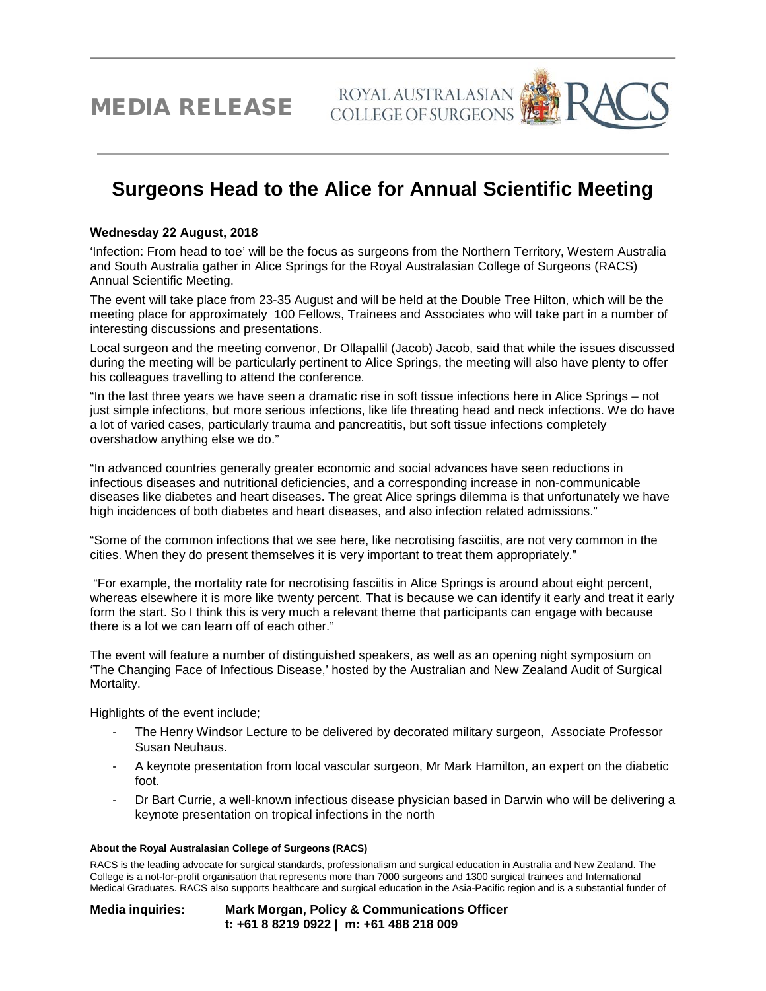MEDIA RELEASE

## ROYAL AUSTRALASIAN

## **Surgeons Head to the Alice for Annual Scientific Meeting**

## **Wednesday 22 August, 2018**

'Infection: From head to toe' will be the focus as surgeons from the Northern Territory, Western Australia and South Australia gather in Alice Springs for the Royal Australasian College of Surgeons (RACS) Annual Scientific Meeting.

The event will take place from 23-35 August and will be held at the Double Tree Hilton, which will be the meeting place for approximately 100 Fellows, Trainees and Associates who will take part in a number of interesting discussions and presentations.

Local surgeon and the meeting convenor, Dr Ollapallil (Jacob) Jacob, said that while the issues discussed during the meeting will be particularly pertinent to Alice Springs, the meeting will also have plenty to offer his colleagues travelling to attend the conference.

"In the last three years we have seen a dramatic rise in soft tissue infections here in Alice Springs – not just simple infections, but more serious infections, like life threating head and neck infections. We do have a lot of varied cases, particularly trauma and pancreatitis, but soft tissue infections completely overshadow anything else we do."

"In advanced countries generally greater economic and social advances have seen reductions in infectious diseases and nutritional deficiencies, and a corresponding increase in non-communicable diseases like diabetes and heart diseases. The great Alice springs dilemma is that unfortunately we have high incidences of both diabetes and heart diseases, and also infection related admissions."

"Some of the common infections that we see here, like necrotising fasciitis, are not very common in the cities. When they do present themselves it is very important to treat them appropriately."

 "For example, the mortality rate for necrotising fasciitis in Alice Springs is around about eight percent, whereas elsewhere it is more like twenty percent. That is because we can identify it early and treat it early form the start. So I think this is very much a relevant theme that participants can engage with because there is a lot we can learn off of each other."

The event will feature a number of distinguished speakers, as well as an opening night symposium on 'The Changing Face of Infectious Disease,' hosted by the Australian and New Zealand Audit of Surgical Mortality.

Highlights of the event include;

- The Henry Windsor Lecture to be delivered by decorated military surgeon, Associate Professor Susan Neuhaus.
- A keynote presentation from local vascular surgeon, Mr Mark Hamilton, an expert on the diabetic foot.
- Dr Bart Currie, a well-known infectious disease physician based in Darwin who will be delivering a keynote presentation on tropical infections in the north

## **About the Royal Australasian College of Surgeons (RACS)**

RACS is the leading advocate for surgical standards, professionalism and surgical education in Australia and New Zealand. The College is a not-for-profit organisation that represents more than 7000 surgeons and 1300 surgical trainees and International Medical Graduates. RACS also supports healthcare and surgical education in the Asia-Pacific region and is a substantial funder of

**Media inquiries: Mark Morgan, Policy & Communications Officer t: +61 8 8219 0922 | m: +61 488 218 009**